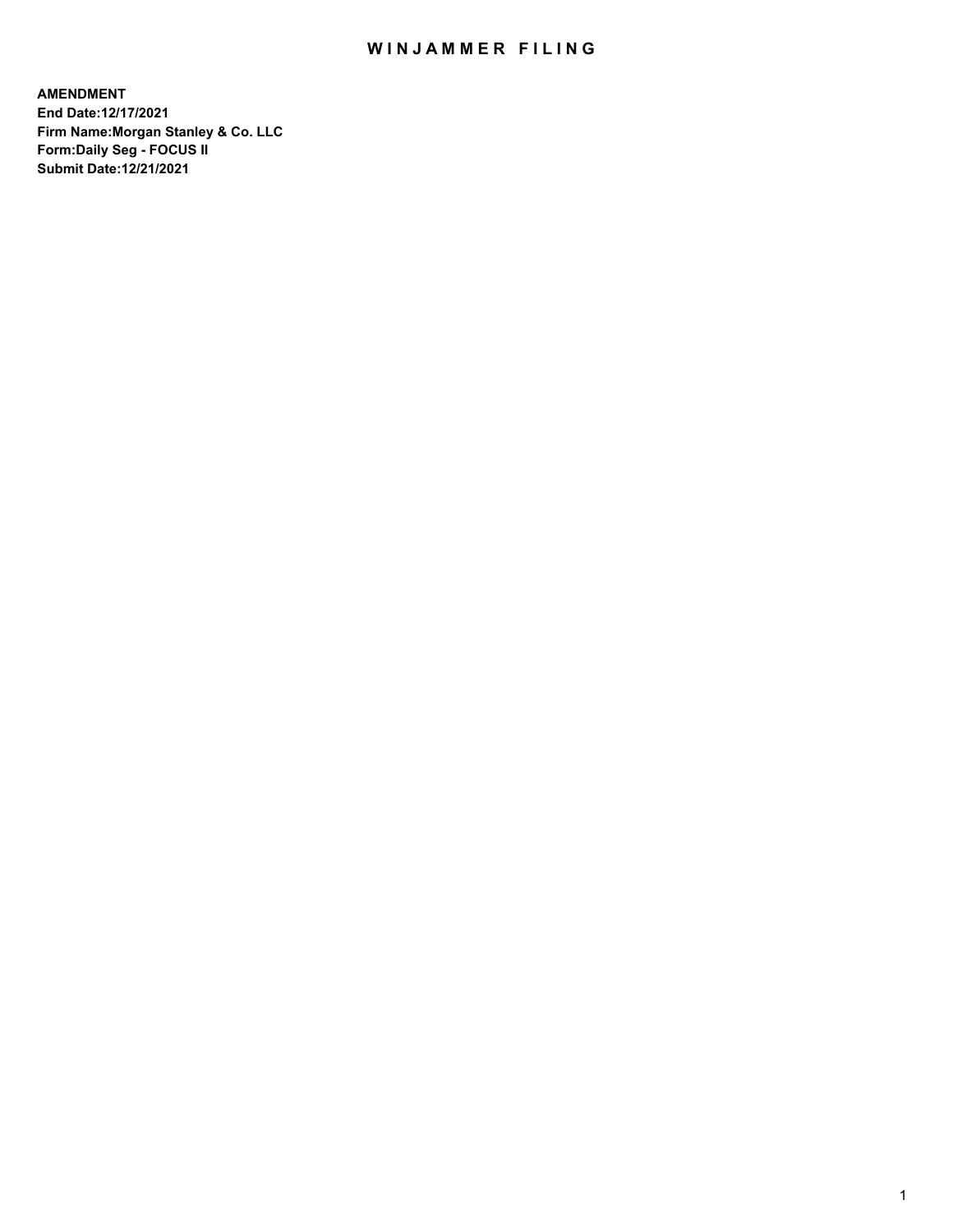## WIN JAMMER FILING

**AMENDMENT End Date:12/17/2021 Firm Name:Morgan Stanley & Co. LLC Form:Daily Seg - FOCUS II Submit Date:12/21/2021**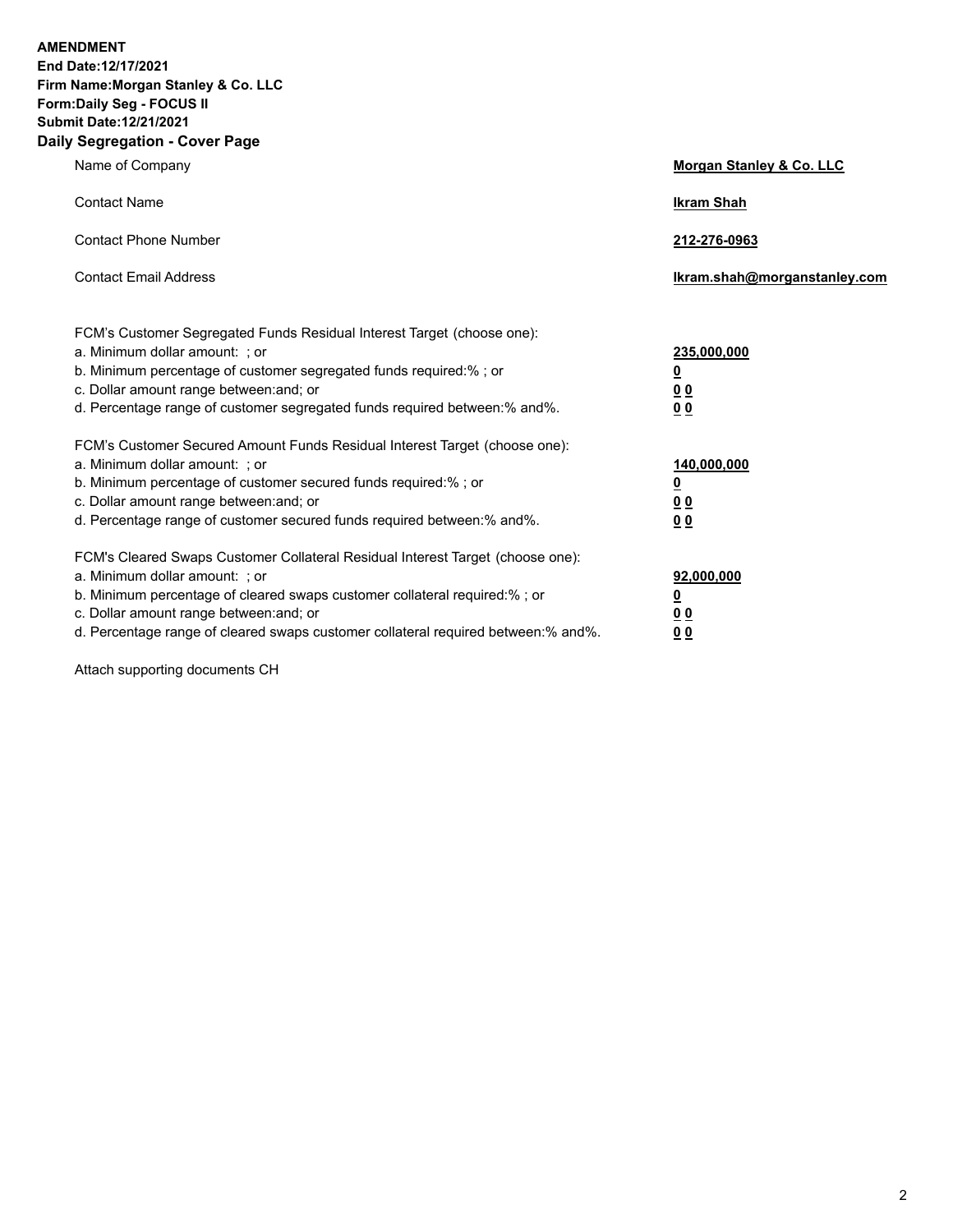**AMENDMENT End Date:12/17/2021 Firm Name:Morgan Stanley & Co. LLC Form:Daily Seg - FOCUS II Submit Date:12/21/2021 Daily Segregation - Cover Page**

| Name of Company                                                                                                                                                                                                                                                                                                                | Morgan Stanley & Co. LLC                                |
|--------------------------------------------------------------------------------------------------------------------------------------------------------------------------------------------------------------------------------------------------------------------------------------------------------------------------------|---------------------------------------------------------|
| <b>Contact Name</b>                                                                                                                                                                                                                                                                                                            | <b>Ikram Shah</b>                                       |
| <b>Contact Phone Number</b>                                                                                                                                                                                                                                                                                                    | 212-276-0963                                            |
| <b>Contact Email Address</b>                                                                                                                                                                                                                                                                                                   | Ikram.shah@morganstanley.com                            |
| FCM's Customer Segregated Funds Residual Interest Target (choose one):<br>a. Minimum dollar amount: ; or<br>b. Minimum percentage of customer segregated funds required:% ; or<br>c. Dollar amount range between: and; or<br>d. Percentage range of customer segregated funds required between:% and%.                         | 235,000,000<br><u>0</u><br><u>00</u><br><u>00</u>       |
| FCM's Customer Secured Amount Funds Residual Interest Target (choose one):<br>a. Minimum dollar amount: ; or<br>b. Minimum percentage of customer secured funds required:%; or<br>c. Dollar amount range between: and; or<br>d. Percentage range of customer secured funds required between:% and%.                            | 140,000,000<br><u>0</u><br><u>0 0</u><br>0 <sub>0</sub> |
| FCM's Cleared Swaps Customer Collateral Residual Interest Target (choose one):<br>a. Minimum dollar amount: ; or<br>b. Minimum percentage of cleared swaps customer collateral required:% ; or<br>c. Dollar amount range between: and; or<br>d. Percentage range of cleared swaps customer collateral required between:% and%. | 92,000,000<br><u>0</u><br><u>00</u><br>00               |

Attach supporting documents CH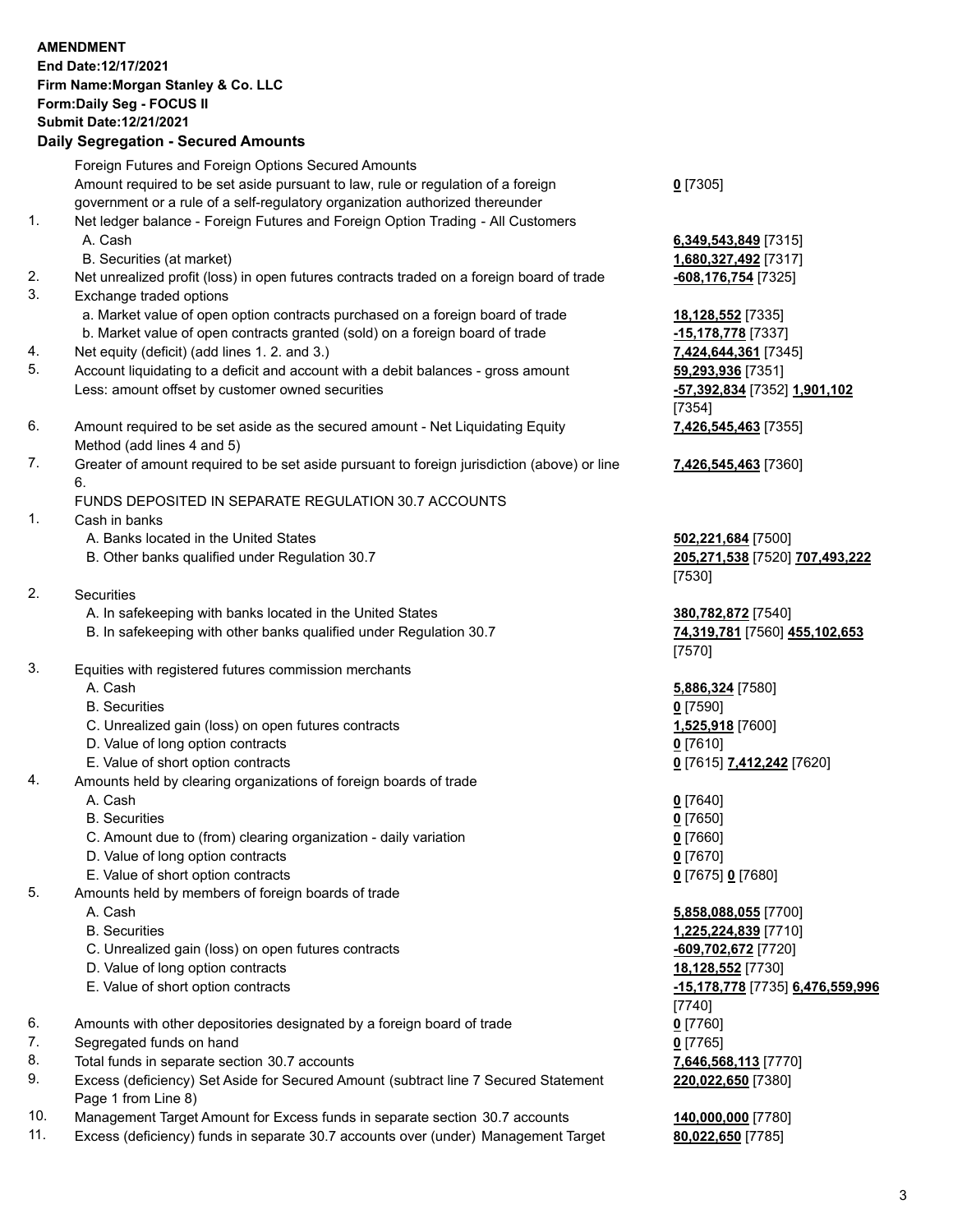## **AMENDMENT End Date:12/17/2021 Firm Name:Morgan Stanley & Co. LLC Form:Daily Seg - FOCUS II Submit Date:12/21/2021 Daily Segregation - Secured Amounts** Foreign Futures and Foreign Options Secured Amounts Amount required to be set aside pursuant to law, rule or regulation of a foreign government or a rule of a self-regulatory organization authorized thereunder **0** [7305] 1. Net ledger balance - Foreign Futures and Foreign Option Trading - All Customers A. Cash **6,349,543,849** [7315] B. Securities (at market) **1,680,327,492** [7317] 2. Net unrealized profit (loss) in open futures contracts traded on a foreign board of trade **-608,176,754** [7325] 3. Exchange traded options a. Market value of open option contracts purchased on a foreign board of trade **18,128,552** [7335] b. Market value of open contracts granted (sold) on a foreign board of trade **-15,178,778** [7337] 4. Net equity (deficit) (add lines 1. 2. and 3.) **7,424,644,361** [7345] 5. Account liquidating to a deficit and account with a debit balances - gross amount **59,293,936** [7351] Less: amount offset by customer owned securities **-57,392,834** [7352] **1,901,102** [7354] 6. Amount required to be set aside as the secured amount - Net Liquidating Equity Method (add lines 4 and 5) **7,426,545,463** [7355] 7. Greater of amount required to be set aside pursuant to foreign jurisdiction (above) or line 6. **7,426,545,463** [7360] FUNDS DEPOSITED IN SEPARATE REGULATION 30.7 ACCOUNTS 1. Cash in banks A. Banks located in the United States **502,221,684** [7500] B. Other banks qualified under Regulation 30.7 **205,271,538** [7520] **707,493,222** [7530] 2. Securities A. In safekeeping with banks located in the United States **380,782,872** [7540] B. In safekeeping with other banks qualified under Regulation 30.7 **74,319,781** [7560] **455,102,653** [7570] 3. Equities with registered futures commission merchants A. Cash **5,886,324** [7580] B. Securities **0** [7590] C. Unrealized gain (loss) on open futures contracts **1,525,918** [7600] D. Value of long option contracts **0** [7610] E. Value of short option contracts **0** [7615] **7,412,242** [7620] 4. Amounts held by clearing organizations of foreign boards of trade A. Cash **0** [7640] B. Securities **0** [7650] C. Amount due to (from) clearing organization - daily variation **0** [7660] D. Value of long option contracts **0** [7670]

- E. Value of short option contracts **0** [7675] **0** [7680]
- 5. Amounts held by members of foreign boards of trade
	- A. Cash **5,858,088,055** [7700]
	- B. Securities **1,225,224,839** [7710]
	- C. Unrealized gain (loss) on open futures contracts **-609,702,672** [7720]
	- D. Value of long option contracts **18,128,552** [7730]
	- E. Value of short option contracts **-15,178,778** [7735] **6,476,559,996**
- 6. Amounts with other depositories designated by a foreign board of trade **0** [7760]
- 7. Segregated funds on hand **0** [7765]
- 8. Total funds in separate section 30.7 accounts **7,646,568,113** [7770]
- 9. Excess (deficiency) Set Aside for Secured Amount (subtract line 7 Secured Statement Page 1 from Line 8)
- 10. Management Target Amount for Excess funds in separate section 30.7 accounts **140,000,000** [7780]
- 11. Excess (deficiency) funds in separate 30.7 accounts over (under) Management Target **80,022,650** [7785]

**220,022,650** [7380]

[7740]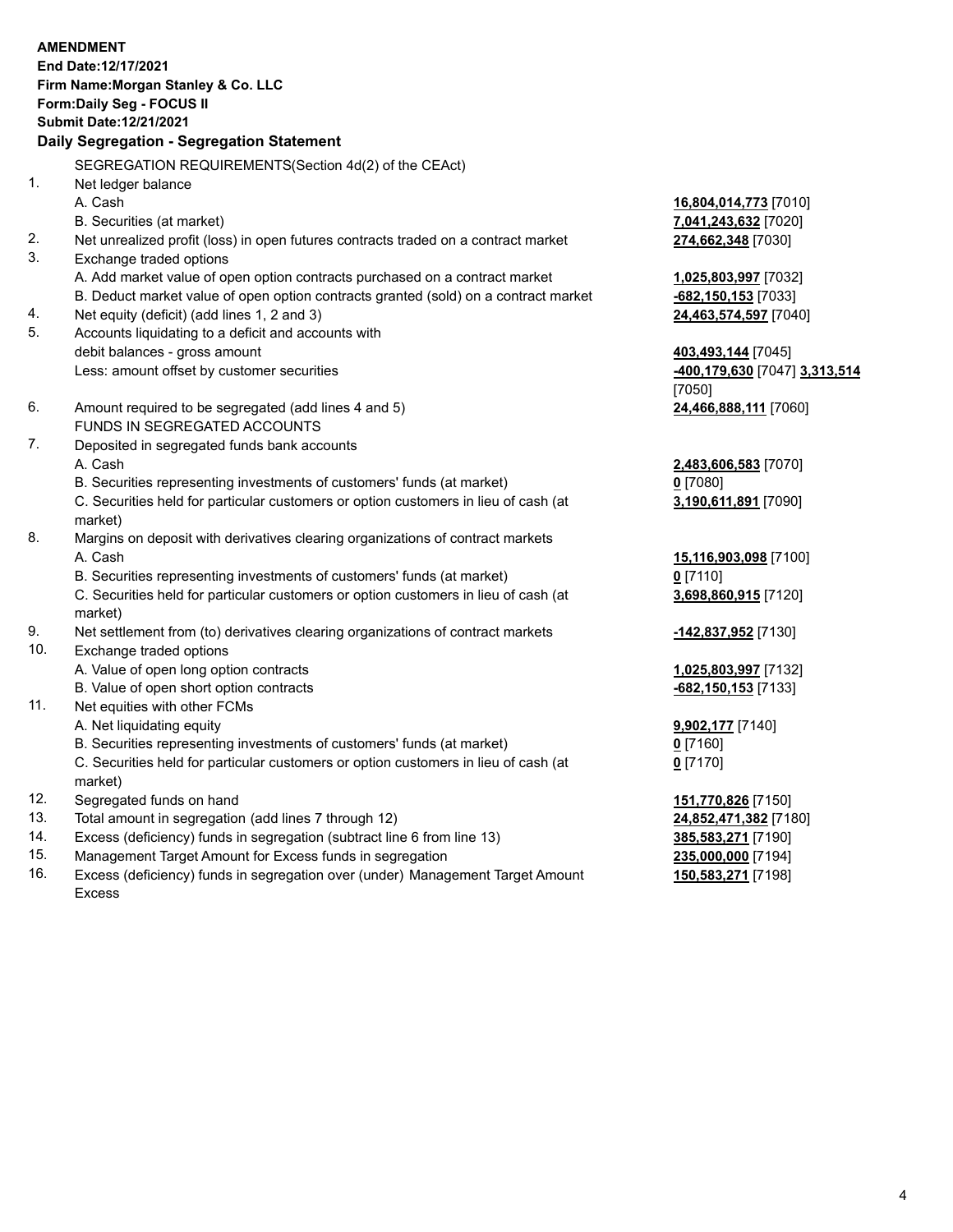## **AMENDMENT End Date:12/17/2021 Firm Name:Morgan Stanley & Co. LLC Form:Daily Seg - FOCUS II Submit Date:12/21/2021 Daily Segregation - Segregation Statement** SEGREGATION REQUIREMENTS(Section 4d(2) of the CEAct) 1. Net ledger balance A. Cash **16,804,014,773** [7010] B. Securities (at market) **7,041,243,632** [7020] 2. Net unrealized profit (loss) in open futures contracts traded on a contract market **274,662,348** [7030] 3. Exchange traded options A. Add market value of open option contracts purchased on a contract market **1,025,803,997** [7032] B. Deduct market value of open option contracts granted (sold) on a contract market **-682,150,153** [7033] 4. Net equity (deficit) (add lines 1, 2 and 3) **24,463,574,597** [7040] 5. Accounts liquidating to a deficit and accounts with debit balances - gross amount **403,493,144** [7045] Less: amount offset by customer securities **-400,179,630** [7047] **3,313,514** [7050] 6. Amount required to be segregated (add lines 4 and 5) **24,466,888,111** [7060] FUNDS IN SEGREGATED ACCOUNTS 7. Deposited in segregated funds bank accounts A. Cash **2,483,606,583** [7070] B. Securities representing investments of customers' funds (at market) **0** [7080] C. Securities held for particular customers or option customers in lieu of cash (at market) **3,190,611,891** [7090] 8. Margins on deposit with derivatives clearing organizations of contract markets A. Cash **15,116,903,098** [7100] B. Securities representing investments of customers' funds (at market) **0** [7110] C. Securities held for particular customers or option customers in lieu of cash (at market) **3,698,860,915** [7120] 9. Net settlement from (to) derivatives clearing organizations of contract markets **-142,837,952** [7130] 10. Exchange traded options A. Value of open long option contracts **1,025,803,997** [7132] B. Value of open short option contracts **-682,150,153** [7133] 11. Net equities with other FCMs A. Net liquidating equity **9,902,177** [7140] B. Securities representing investments of customers' funds (at market) **0** [7160] C. Securities held for particular customers or option customers in lieu of cash (at market) **0** [7170] 12. Segregated funds on hand **151,770,826** [7150] 13. Total amount in segregation (add lines 7 through 12) **24,852,471,382** [7180]

- 14. Excess (deficiency) funds in segregation (subtract line 6 from line 13) **385,583,271** [7190]
- 15. Management Target Amount for Excess funds in segregation **235,000,000** [7194]
- 16. Excess (deficiency) funds in segregation over (under) Management Target Amount Excess

**150,583,271** [7198]